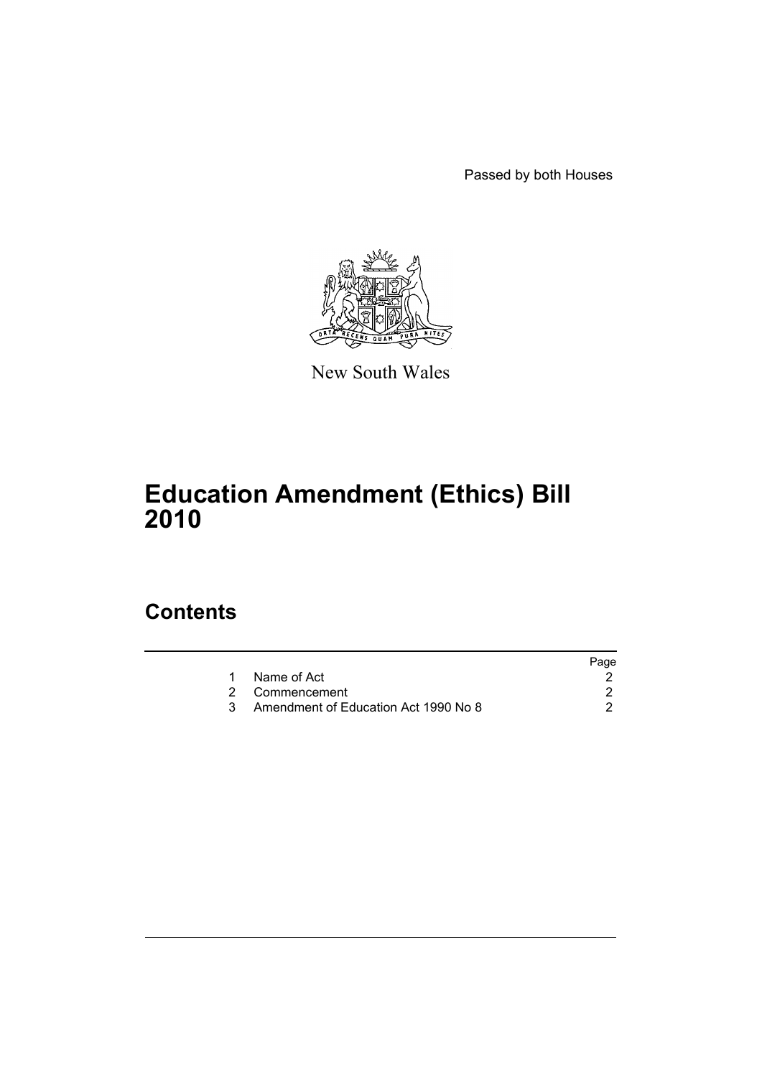Passed by both Houses



New South Wales

# **Education Amendment (Ethics) Bill 2010**

# **Contents**

|                                      | Page |
|--------------------------------------|------|
| Name of Act                          |      |
| 2 Commencement                       |      |
| Amendment of Education Act 1990 No 8 |      |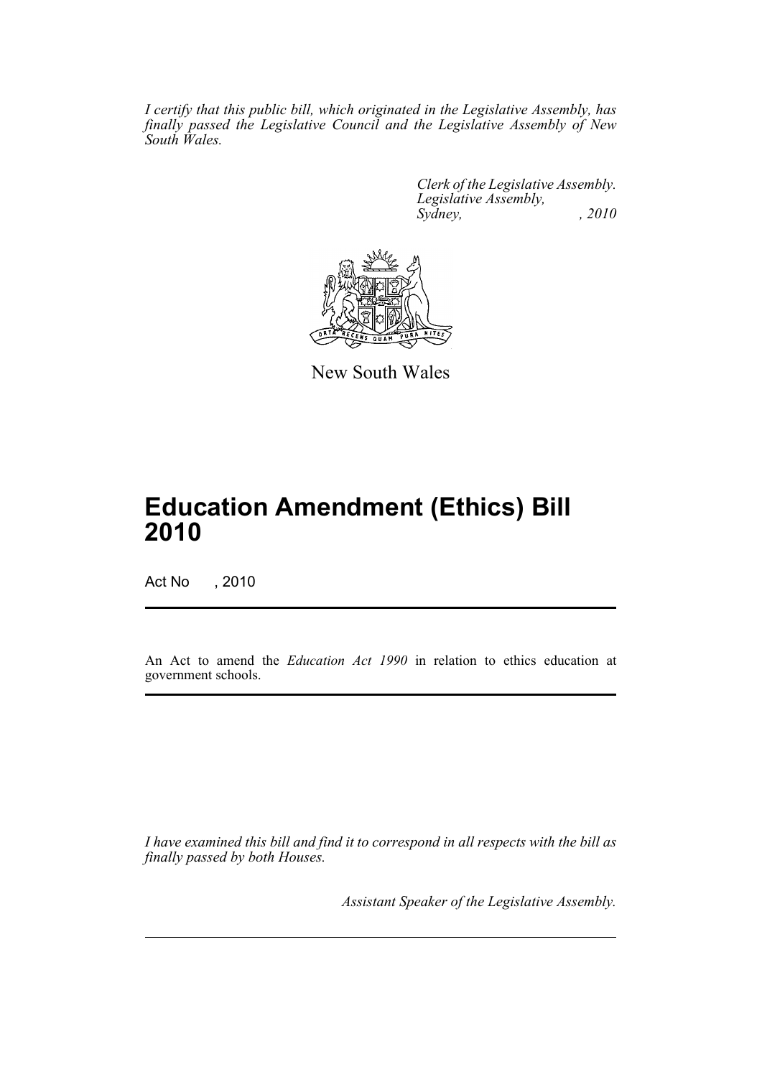*I certify that this public bill, which originated in the Legislative Assembly, has finally passed the Legislative Council and the Legislative Assembly of New South Wales.*

> *Clerk of the Legislative Assembly. Legislative Assembly, Sydney, , 2010*



New South Wales

# **Education Amendment (Ethics) Bill 2010**

Act No , 2010

An Act to amend the *Education Act 1990* in relation to ethics education at government schools.

*I have examined this bill and find it to correspond in all respects with the bill as finally passed by both Houses.*

*Assistant Speaker of the Legislative Assembly.*